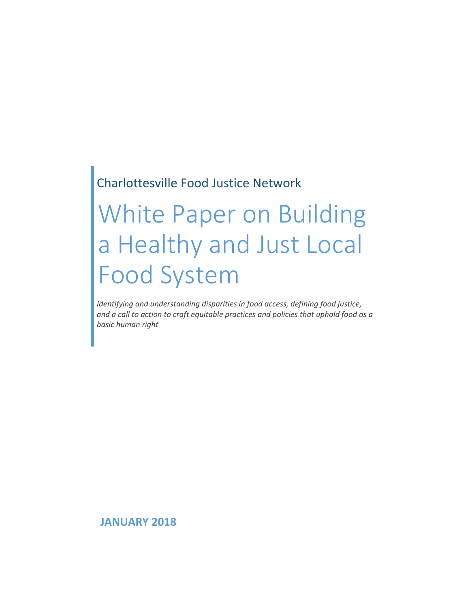## Charlottesville Food Justice Network

# White Paper on Building a Healthy and Just Local Food System

*Identifying and understanding disparities in food access, defining food justice, and a call to action to craft equitable practices and policies that uphold food as a basic human right*

**JANUARY 2018**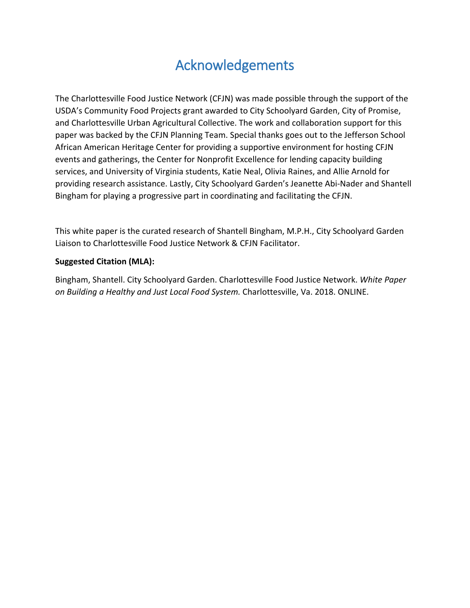# Acknowledgements

The Charlottesville Food Justice Network (CFJN) was made possible through the support of the USDA's Community Food Projects grant awarded to City Schoolyard Garden, City of Promise, and Charlottesville Urban Agricultural Collective. The work and collaboration support for this paper was backed by the CFJN Planning Team. Special thanks goes out to the Jefferson School African American Heritage Center for providing a supportive environment for hosting CFJN events and gatherings, the Center for Nonprofit Excellence for lending capacity building services, and University of Virginia students, Katie Neal, Olivia Raines, and Allie Arnold for providing research assistance. Lastly, City Schoolyard Garden's Jeanette Abi-Nader and Shantell Bingham for playing a progressive part in coordinating and facilitating the CFJN.

This white paper is the curated research of Shantell Bingham, M.P.H., City Schoolyard Garden Liaison to Charlottesville Food Justice Network & CFJN Facilitator.

#### **Suggested Citation (MLA):**

Bingham, Shantell. City Schoolyard Garden. Charlottesville Food Justice Network. *White Paper on Building a Healthy and Just Local Food System.* Charlottesville, Va. 2018. ONLINE.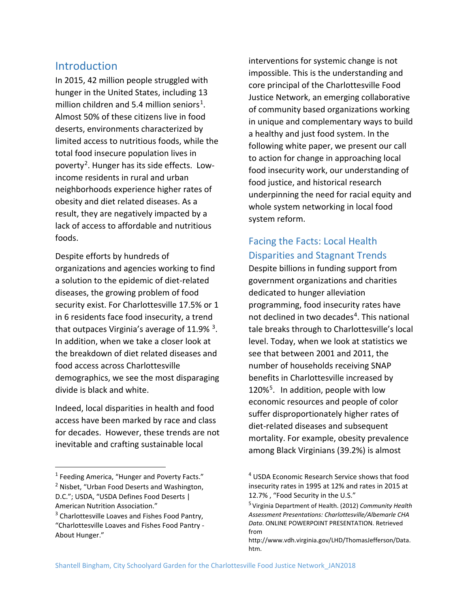#### **Introduction**

In 2015, 42 million people struggled with hunger in the United States, including 13 million children and 5.4 million seniors<sup>1</sup>. Almost 50% of these citizens live in food deserts, environments characterized by limited access to nutritious foods, while the total food insecure population lives in poverty<sup>[2](#page-2-1)</sup>. Hunger has its side effects. Lowincome residents in rural and urban neighborhoods experience higher rates of obesity and diet related diseases. As a result, they are negatively impacted by a lack of access to affordable and nutritious foods.

Despite efforts by hundreds of organizations and agencies working to find a solution to the epidemic of diet-related diseases, the growing problem of food security exist. For Charlottesville 17.5% or 1 in 6 residents face food insecurity, a trend that outpaces Virginia's average of  $11.9\%$ <sup>3</sup>. In addition, when we take a closer look at the breakdown of diet related diseases and food access across Charlottesville demographics, we see the most disparaging divide is black and white.

Indeed, local disparities in health and food access have been marked by race and class for decades. However, these trends are not inevitable and crafting sustainable local

interventions for systemic change is not impossible. This is the understanding and core principal of the Charlottesville Food Justice Network, an emerging collaborative of community based organizations working in unique and complementary ways to build a healthy and just food system. In the following white paper, we present our call to action for change in approaching local food insecurity work, our understanding of food justice, and historical research underpinning the need for racial equity and whole system networking in local food system reform.

## Facing the Facts: Local Health Disparities and Stagnant Trends

Despite billions in funding support from government organizations and charities dedicated to hunger alleviation programming, food insecurity rates have not declined in two decades<sup>4</sup>. This national tale breaks through to Charlottesville's local level. Today, when we look at statistics we see that between 2001 and 2011, the number of households receiving SNAP benefits in Charlottesville increased by 120%<sup>[5](#page-2-3)</sup>. In addition, people with low economic resources and people of color suffer disproportionately higher rates of diet-related diseases and subsequent mortality. For example, obesity prevalence among Black Virginians (39.2%) is almost

<span id="page-2-0"></span> $<sup>1</sup>$  Feeding America, "Hunger and Poverty Facts."</sup> <sup>2</sup> Nisbet, "Urban Food Deserts and Washington,

<span id="page-2-3"></span><span id="page-2-1"></span>D.C."; USDA, "USDA Defines Food Deserts | American Nutrition Association."

<span id="page-2-2"></span><sup>&</sup>lt;sup>3</sup> Charlottesville Loaves and Fishes Food Pantry, "Charlottesville Loaves and Fishes Food Pantry - About Hunger."

<sup>&</sup>lt;sup>4</sup> USDA Economic Research Service shows that food insecurity rates in 1995 at 12% and rates in 2015 at 12.7% , "Food Security in the U.S."

<sup>5</sup> Virginia Department of Health. (2012) *Community Health Assessment Presentations: Charlottesville/Albemarle CHA Data*. ONLINE POWERPOINT PRESENTATION. Retrieved from

http://www.vdh.virginia.gov/LHD/ThomasJefferson/Data. htm.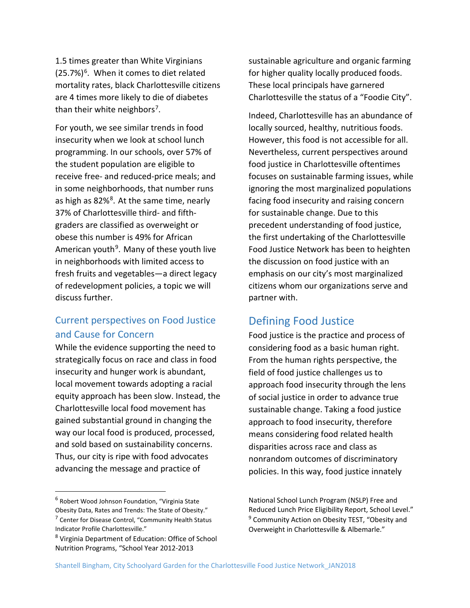1.5 times greater than White Virginians  $(25.7%)<sup>6</sup>$ . When it comes to diet related mortality rates, black Charlottesville citizens are 4 times more likely to die of diabetes than their white neighbors<sup>[7](#page-3-1)</sup>.

For youth, we see similar trends in food insecurity when we look at school lunch programming. In our schools, over 57% of the student population are eligible to receive free- and reduced-price meals; and in some neighborhoods, that number runs as high as [8](#page-3-2)2%<sup>8</sup>. At the same time, nearly 37% of Charlottesville third- and fifthgraders are classified as overweight or obese this number is 49% for African American youth<sup>[9](#page-3-1)</sup>. Many of these youth live in neighborhoods with limited access to fresh fruits and vegetables—a direct legacy of redevelopment policies, a topic we will discuss further.

#### Current perspectives on Food Justice and Cause for Concern

While the evidence supporting the need to strategically focus on race and class in food insecurity and hunger work is abundant, local movement towards adopting a racial equity approach has been slow. Instead, the Charlottesville local food movement has gained substantial ground in changing the way our local food is produced, processed, and sold based on sustainability concerns. Thus, our city is ripe with food advocates advancing the message and practice of

<span id="page-3-1"></span><span id="page-3-0"></span> 6 Robert Wood Johnson Foundation, "Virginia State Obesity Data, Rates and Trends: The State of Obesity." <sup>7</sup> Center for Disease Control, "Community Health Status Indicator Profile Charlottesville."

sustainable agriculture and organic farming for higher quality locally produced foods. These local principals have garnered Charlottesville the status of a "Foodie City".

Indeed, Charlottesville has an abundance of locally sourced, healthy, nutritious foods. However, this food is not accessible for all. Nevertheless, current perspectives around food justice in Charlottesville oftentimes focuses on sustainable farming issues, while ignoring the most marginalized populations facing food insecurity and raising concern for sustainable change. Due to this precedent understanding of food justice, the first undertaking of the Charlottesville Food Justice Network has been to heighten the discussion on food justice with an emphasis on our city's most marginalized citizens whom our organizations serve and partner with.

## Defining Food Justice

Food justice is the practice and process of considering food as a basic human right. From the human rights perspective, the field of food justice challenges us to approach food insecurity through the lens of social justice in order to advance true sustainable change. Taking a food justice approach to food insecurity, therefore means considering food related health disparities across race and class as nonrandom outcomes of discriminatory policies. In this way, food justice innately

<span id="page-3-2"></span><sup>8</sup> Virginia Department of Education: Office of School Nutrition Programs, "School Year 2012-2013

National School Lunch Program (NSLP) Free and Reduced Lunch Price Eligibility Report, School Level." <sup>9</sup> Community Action on Obesity TEST, "Obesity and Overweight in Charlottesville & Albemarle."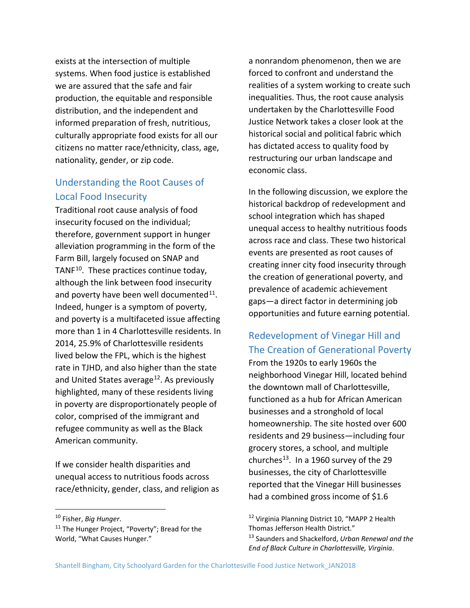exists at the intersection of multiple systems. When food justice is established we are assured that the safe and fair production, the equitable and responsible distribution, and the independent and informed preparation of fresh, nutritious, culturally appropriate food exists for all our citizens no matter race/ethnicity, class, age, nationality, gender, or zip code.

#### Understanding the Root Causes of Local Food Insecurity

Traditional root cause analysis of food insecurity focused on the individual; therefore, government support in hunger alleviation programming in the form of the Farm Bill, largely focused on SNAP and TANF<sup>10</sup>. These practices continue today, although the link between food insecurity and poverty have been well documented $^{11}$  $^{11}$  $^{11}$ . Indeed, hunger is a symptom of poverty, and poverty is a multifaceted issue affecting more than 1 in 4 Charlottesville residents. In 2014, 25.9% of Charlottesville residents lived below the FPL, which is the highest rate in TJHD, and also higher than the state and United States average<sup>12</sup>. As previously highlighted, many of these residents living in poverty are disproportionately people of color, comprised of the immigrant and refugee community as well as the Black American community.

If we consider health disparities and unequal access to nutritious foods across race/ethnicity, gender, class, and religion as a nonrandom phenomenon, then we are forced to confront and understand the realities of a system working to create such inequalities. Thus, the root cause analysis undertaken by the Charlottesville Food Justice Network takes a closer look at the historical social and political fabric which has dictated access to quality food by restructuring our urban landscape and economic class.

In the following discussion, we explore the historical backdrop of redevelopment and school integration which has shaped unequal access to healthy nutritious foods across race and class. These two historical events are presented as root causes of creating inner city food insecurity through the creation of generational poverty, and prevalence of academic achievement gaps—a direct factor in determining job opportunities and future earning potential.

## Redevelopment of Vinegar Hill and The Creation of Generational Poverty

From the 1920s to early 1960s the neighborhood Vinegar Hill, located behind the downtown mall of Charlottesville, functioned as a hub for African American businesses and a stronghold of local homeownership. The site hosted over 600 residents and 29 business—including four grocery stores, a school, and multiple churches<sup>[13](#page-4-2)</sup>. In a 1960 survey of the 29 businesses, the city of Charlottesville reported that the Vinegar Hill businesses had a combined gross income of \$1.6

<span id="page-4-0"></span> <sup>10</sup> Fisher, *Big Hunger*.

<span id="page-4-2"></span><span id="page-4-1"></span><sup>&</sup>lt;sup>11</sup> The Hunger Project, "Poverty"; Bread for the World, "What Causes Hunger."

<sup>&</sup>lt;sup>12</sup> Virginia Planning District 10, "MAPP 2 Health Thomas Jefferson Health District." <sup>13</sup> Saunders and Shackelford, *Urban Renewal and the End of Black Culture in Charlottesville, Virginia*.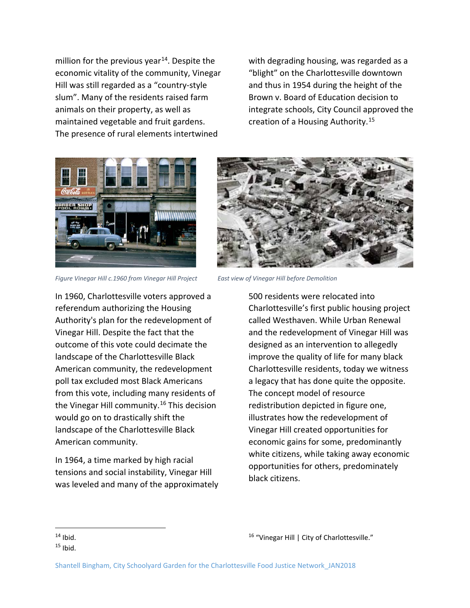million for the previous year<sup>[14](#page-5-0)</sup>. Despite the economic vitality of the community, Vinegar Hill was still regarded as a "country-style slum". Many of the residents raised farm animals on their property, as well as maintained vegetable and fruit gardens. The presence of rural elements intertwined

with degrading housing, was regarded as a "blight" on the Charlottesville downtown and thus in 1954 during the height of the Brown v. Board of Education decision to integrate schools, City Council approved the creation of a Housing Authority.<sup>[15](#page-5-1)</sup>



*Figure Vinegar Hill c.1960 from Vinegar Hill Project East view of Vinegar Hill before Demolition* 

In 1960, Charlottesville voters approved a referendum authorizing the Housing Authority's plan for the redevelopment of Vinegar Hill. Despite the fact that the outcome of this vote could decimate the landscape of the Charlottesville Black American community, the redevelopment poll tax excluded most Black Americans from this vote, including many residents of the Vinegar Hill community.<sup>16</sup> This decision would go on to drastically shift the landscape of the Charlottesville Black American community.

In 1964, a time marked by high racial tensions and social instability, Vinegar Hill was leveled and many of the approximately



500 residents were relocated into Charlottesville's first public housing project called Westhaven. While Urban Renewal and the redevelopment of Vinegar Hill was designed as an intervention to allegedly improve the quality of life for many black Charlottesville residents, today we witness a legacy that has done quite the opposite. The concept model of resource redistribution depicted in figure one, illustrates how the redevelopment of Vinegar Hill created opportunities for economic gains for some, predominantly white citizens, while taking away economic opportunities for others, predominately black citizens.

<span id="page-5-0"></span> $14$  Ibid.

<span id="page-5-1"></span> $15$  Ibid.

<sup>&</sup>lt;sup>16</sup> "Vinegar Hill | City of Charlottesville."

Shantell Bingham, City Schoolyard Garden for the Charlottesville Food Justice Network\_JAN2018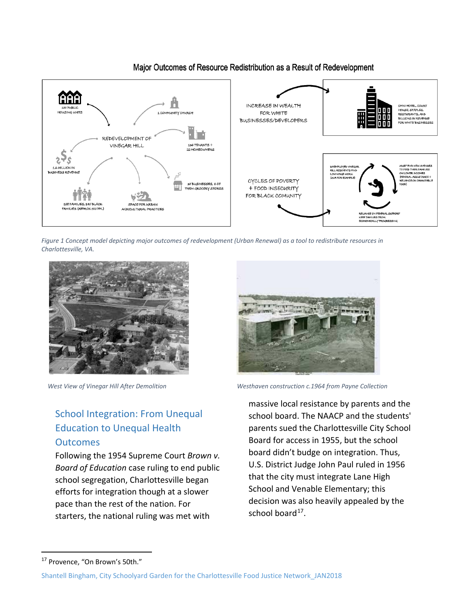

#### Major Outcomes of Resource Redistribution as a Result of Redevelopment

*Figure 1 Concept model depicting major outcomes of redevelopment (Urban Renewal) as a tool to redistribute resources in Charlottesville, VA.*



## School Integration: From Unequal Education to Unequal Health **Outcomes**

Following the 1954 Supreme Court *Brown v. Board of Education* case ruling to end public school segregation, Charlottesville began efforts for integration though at a slower pace than the rest of the nation. For starters, the national ruling was met with



West View of Vinegar Hill After Demolition **Mustum Westhaven construction c.1964** from Payne Collection

massive local resistance by parents and the school board. The NAACP and the students' parents sued the Charlottesville City School Board for access in 1955, but the school board didn't budge on integration. Thus, U.S. District Judge John Paul ruled in 1956 that the city must integrate Lane High School and Venable Elementary; this decision was also heavily appealed by the school board $17$ .

<span id="page-6-0"></span><sup>&</sup>lt;sup>17</sup> Provence, "On Brown's 50th."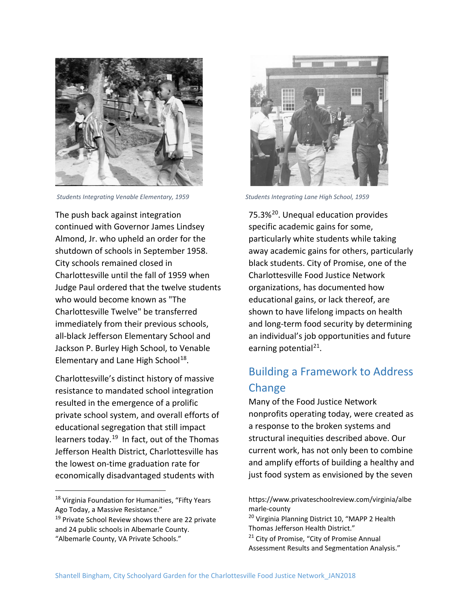

*Students Integrating Venable Elementary, 1959 Students Integrating Lane High School, 1959*

The push back against integration continued with Governor James Lindsey Almond, Jr. who upheld an order for the shutdown of schools in September 1958. City schools remained closed in Charlottesville until the fall of 1959 when Judge Paul ordered that the twelve students who would become known as "The Charlottesville Twelve" be transferred immediately from their previous schools, all-black Jefferson Elementary School and Jackson P. Burley High School, to Venable Elementary and Lane High School<sup>[18](#page-7-0)</sup>.

Charlottesville's distinct history of massive resistance to mandated school integration resulted in the emergence of a prolific private school system, and overall efforts of educational segregation that still impact learners today.<sup>19</sup> In fact, out of the Thomas Jefferson Health District, Charlottesville has the lowest on-time graduation rate for economically disadvantaged students with



75.3%<sup>[20](#page-7-2)</sup>. Unequal education provides specific academic gains for some, particularly white students while taking away academic gains for others, particularly black students. City of Promise, one of the Charlottesville Food Justice Network organizations, has documented how educational gains, or lack thereof, are shown to have lifelong impacts on health and long-term food security by determining an individual's job opportunities and future earning potential $^{21}$  $^{21}$  $^{21}$ .

## Building a Framework to Address Change

Many of the Food Justice Network nonprofits operating today, were created as a response to the broken systems and structural inequities described above. Our current work, has not only been to combine and amplify efforts of building a healthy and just food system as envisioned by the seven

<span id="page-7-0"></span><sup>&</sup>lt;sup>18</sup> Virginia Foundation for Humanities, "Fifty Years Ago Today, a Massive Resistance."

<span id="page-7-3"></span><span id="page-7-2"></span><span id="page-7-1"></span><sup>&</sup>lt;sup>19</sup> Private School Review shows there are 22 private and 24 public schools in Albemarle County. "Albemarle County, VA Private Schools."

https://www.privateschoolreview.com/virginia/albe marle-county

<sup>&</sup>lt;sup>20</sup> Virginia Planning District 10, "MAPP 2 Health Thomas Jefferson Health District."

<sup>&</sup>lt;sup>21</sup> City of Promise, "City of Promise Annual Assessment Results and Segmentation Analysis."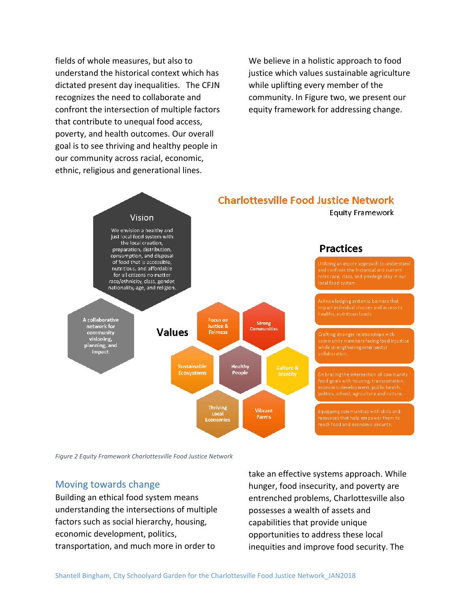fields of whole measures, but also to understand the historical context which has dictated present day inequalities. The CFJN recognizes the need to collaborate and confront the intersection of multiple factors that contribute to unequal food access, poverty, and health outcomes. Our overall goal is to see thriving and healthy people in our community across racial, economic, ethnic, religious and generational lines.

We believe in a holistic approach to food justice which values sustainable agriculture while uplifting every member of the community. In Figure two, we present our equity framework for addressing change.



*Figure 2 Equity Framework Charlottesville Food Justice Network*

#### Moving towards change

Building an ethical food system means understanding the intersections of multiple factors such as social hierarchy, housing, economic development, politics, transportation, and much more in order to

take an effective systems approach. While hunger, food insecurity, and poverty are entrenched problems, Charlottesville also possesses a wealth of assets and capabilities that provide unique opportunities to address these local inequities and improve food security. The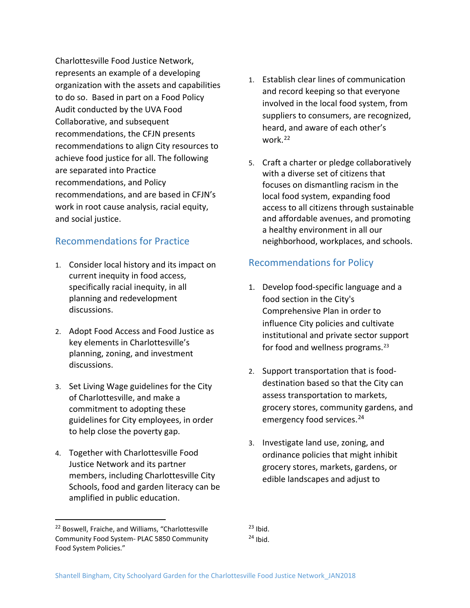Charlottesville Food Justice Network, represents an example of a developing organization with the assets and capabilities to do so. Based in part on a Food Policy Audit conducted by the UVA Food Collaborative, and subsequent recommendations, the CFJN presents recommendations to align City resources to achieve food justice for all. The following are separated into Practice recommendations, and Policy recommendations, and are based in CFJN's work in root cause analysis, racial equity, and social justice.

#### Recommendations for Practice

- 1. Consider local history and its impact on current inequity in food access, specifically racial inequity, in all planning and redevelopment discussions.
- 2. Adopt Food Access and Food Justice as key elements in Charlottesville's planning, zoning, and investment discussions.
- 3. Set Living Wage guidelines for the City of Charlottesville, and make a commitment to adopting these guidelines for City employees, in order to help close the poverty gap.
- 4. Together with Charlottesville Food Justice Network and its partner members, including Charlottesville City Schools, food and garden literacy can be amplified in public education.
- 1. Establish clear lines of communication and record keeping so that everyone involved in the local food system, from suppliers to consumers, are recognized, heard, and aware of each other's work.[22](#page-9-0)
- 5. Craft a charter or pledge collaboratively with a diverse set of citizens that focuses on dismantling racism in the local food system, expanding food access to all citizens through sustainable and affordable avenues, and promoting a healthy environment in all our neighborhood, workplaces, and schools.

#### Recommendations for Policy

- 1. Develop food-specific language and a food section in the City's Comprehensive Plan in order to influence City policies and cultivate institutional and private sector support for food and wellness programs.<sup>[23](#page-9-0)</sup>
- 2. Support transportation that is fooddestination based so that the City can assess transportation to markets, grocery stores, community gardens, and emergency food services. [24](#page-9-1)
- 3. Investigate land use, zoning, and ordinance policies that might inhibit grocery stores, markets, gardens, or edible landscapes and adjust to

<span id="page-9-1"></span><span id="page-9-0"></span><sup>&</sup>lt;sup>22</sup> Boswell, Fraiche, and Williams, "Charlottesville Community Food System- PLAC 5850 Community Food System Policies."

 $23$  Ibid.  $24$  Ibid.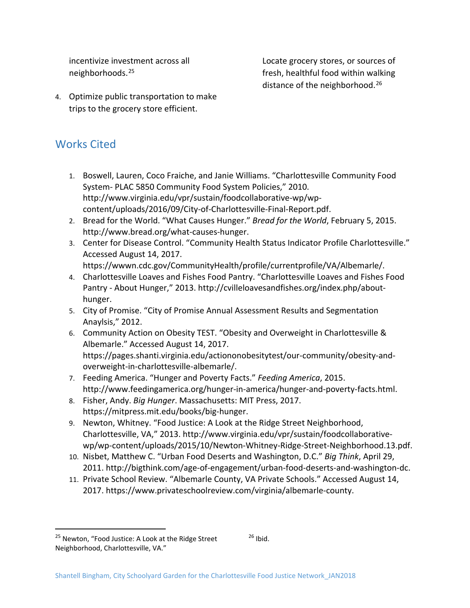incentivize investment across all neighborhoods. [25](#page-10-0)

Locate grocery stores, or sources of fresh, healthful food within walking distance of the neighborhood.<sup>[26](#page-10-0)</sup>

4. Optimize public transportation to make trips to the grocery store efficient.

## Works Cited

- 1. Boswell, Lauren, Coco Fraiche, and Janie Williams. "Charlottesville Community Food System- PLAC 5850 Community Food System Policies," 2010. http://www.virginia.edu/vpr/sustain/foodcollaborative-wp/wpcontent/uploads/2016/09/City-of-Charlottesville-Final-Report.pdf.
- 2. Bread for the World. "What Causes Hunger." *Bread for the World*, February 5, 2015. http://www.bread.org/what-causes-hunger.
- 3. Center for Disease Control. "Community Health Status Indicator Profile Charlottesville." Accessed August 14, 2017.
- https://wwwn.cdc.gov/CommunityHealth/profile/currentprofile/VA/Albemarle/. 4. Charlottesville Loaves and Fishes Food Pantry. "Charlottesville Loaves and Fishes Food
- Pantry About Hunger," 2013. http://cvilleloavesandfishes.org/index.php/abouthunger.
- 5. City of Promise. "City of Promise Annual Assessment Results and Segmentation Anaylsis," 2012.
- 6. Community Action on Obesity TEST. "Obesity and Overweight in Charlottesville & Albemarle." Accessed August 14, 2017. https://pages.shanti.virginia.edu/actiononobesitytest/our-community/obesity-andoverweight-in-charlottesville-albemarle/.
- 7. Feeding America. "Hunger and Poverty Facts." *Feeding America*, 2015. http://www.feedingamerica.org/hunger-in-america/hunger-and-poverty-facts.html.
- 8. Fisher, Andy. *Big Hunger*. Massachusetts: MIT Press, 2017. https://mitpress.mit.edu/books/big-hunger.
- 9. Newton, Whitney. "Food Justice: A Look at the Ridge Street Neighborhood, Charlottesville, VA," 2013. http://www.virginia.edu/vpr/sustain/foodcollaborativewp/wp-content/uploads/2015/10/Newton-Whitney-Ridge-Street-Neighborhood.13.pdf.
- 10. Nisbet, Matthew C. "Urban Food Deserts and Washington, D.C." *Big Think*, April 29, 2011. http://bigthink.com/age-of-engagement/urban-food-deserts-and-washington-dc.
- 11. Private School Review. "Albemarle County, VA Private Schools." Accessed August 14, 2017. https://www.privateschoolreview.com/virginia/albemarle-county.

 $26$  Ibid.

<span id="page-10-0"></span><sup>&</sup>lt;sup>25</sup> Newton, "Food Justice: A Look at the Ridge Street Neighborhood, Charlottesville, VA."